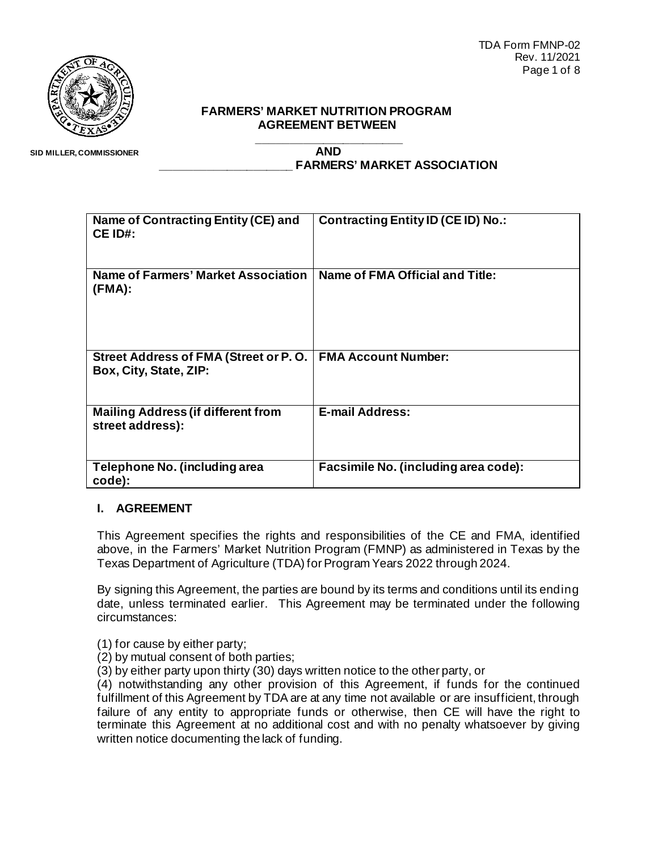TDA Form FMNP-02 Rev. 11/2021 Page 1 of 8



#### **FARMERS' MARKET NUTRITION PROGRAM AGREEMENT BETWEEN**

 **SID MILLER, COMMISSIONER**

**\_\_\_\_\_\_\_\_\_\_\_\_\_\_\_\_\_\_\_\_\_\_ AND \_\_\_\_\_\_\_\_\_\_\_\_\_\_\_\_\_\_\_\_ FARMERS' MARKET ASSOCIATION**

| Name of Contracting Entity (CE) and<br>CE ID#:                  | <b>Contracting Entity ID (CE ID) No.:</b> |  |
|-----------------------------------------------------------------|-------------------------------------------|--|
| <b>Name of Farmers' Market Association</b><br>(FMA):            | Name of FMA Official and Title:           |  |
| Street Address of FMA (Street or P.O.<br>Box, City, State, ZIP: | <b>FMA Account Number:</b>                |  |
| <b>Mailing Address (if different from</b><br>street address):   | <b>E-mail Address:</b>                    |  |
| Telephone No. (including area<br>code):                         | Facsimile No. (including area code):      |  |

## **I. AGREEMENT**

This Agreement specifies the rights and responsibilities of the CE and FMA, identified above, in the Farmers' Market Nutrition Program (FMNP) as administered in Texas by the Texas Department of Agriculture (TDA) for Program Years 2022 through 2024.

By signing this Agreement, the parties are bound by its terms and conditions until its ending date, unless terminated earlier. This Agreement may be terminated under the following circumstances:

(1) for cause by either party;

(2) by mutual consent of both parties;

(3) by either party upon thirty (30) days written notice to the other party, or

(4) notwithstanding any other provision of this Agreement, if funds for the continued fulfillment of this Agreement by TDA are at any time not available or are insufficient, through failure of any entity to appropriate funds or otherwise, then CE will have the right to terminate this Agreement at no additional cost and with no penalty whatsoever by giving written notice documenting the lack of funding.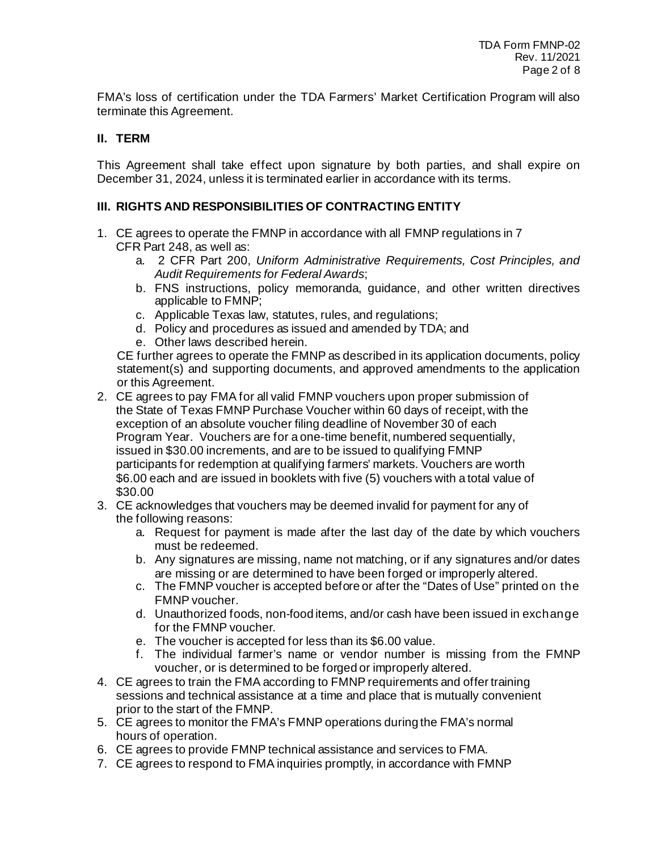FMA's loss of certification under the TDA Farmers' Market Certification Program will also terminate this Agreement.

### **II. TERM**

This Agreement shall take effect upon signature by both parties, and shall expire on December 31, 2024, unless it is terminated earlier in accordance with its terms.

#### **III. RIGHTS AND RESPONSIBILITIES OF CONTRACTING ENTITY**

- 1. CE agrees to operate the FMNP in accordance with all FMNP regulations in 7 CFR Part 248, as well as:
	- a. 2 CFR Part 200, *Uniform Administrative Requirements, Cost Principles, and Audit Requirements for Federal Awards*;
	- b. FNS instructions, policy memoranda, guidance, and other written directives applicable to FMNP;
	- c. Applicable Texas law, statutes, rules, and regulations;
	- d. Policy and procedures as issued and amended by TDA; and
	- e. Other laws described herein.

CE further agrees to operate the FMNP as described in its application documents, policy statement(s) and supporting documents, and approved amendments to the application or this Agreement.

- 2. CE agrees to pay FMA for all valid FMNP vouchers upon proper submission of the State of Texas FMNP Purchase Voucher within 60 days of receipt, with the exception of an absolute voucher filing deadline of November 30 of each Program Year. Vouchers are for a one-time benefit, numbered sequentially, issued in \$30.00 increments, and are to be issued to qualifying FMNP participants for redemption at qualifying farmers' markets. Vouchers are worth \$6.00 each and are issued in booklets with five (5) vouchers with a total value of \$30.00
- 3. CE acknowledges that vouchers may be deemed invalid for payment for any of the following reasons:
	- a. Request for payment is made after the last day of the date by which vouchers must be redeemed.
	- b. Any signatures are missing, name not matching, or if any signatures and/or dates are missing or are determined to have been forged or improperly altered.
	- c. The FMNP voucher is accepted before or after the "Dates of Use" printed on the FMNP voucher.
	- d. Unauthorized foods, non-food items, and/or cash have been issued in exchange for the FMNP voucher.
	- e. The voucher is accepted for less than its \$6.00 value.
	- f. The individual farmer's name or vendor number is missing from the FMNP voucher, or is determined to be forged or improperly altered.
- 4. CE agrees to train the FMA according to FMNP requirements and offer training sessions and technical assistance at a time and place that is mutually convenient prior to the start of the FMNP.
- 5. CE agrees to monitor the FMA's FMNP operations during the FMA's normal hours of operation.
- 6. CE agrees to provide FMNP technical assistance and services to FMA.
- 7. CE agrees to respond to FMA inquiries promptly, in accordance with FMNP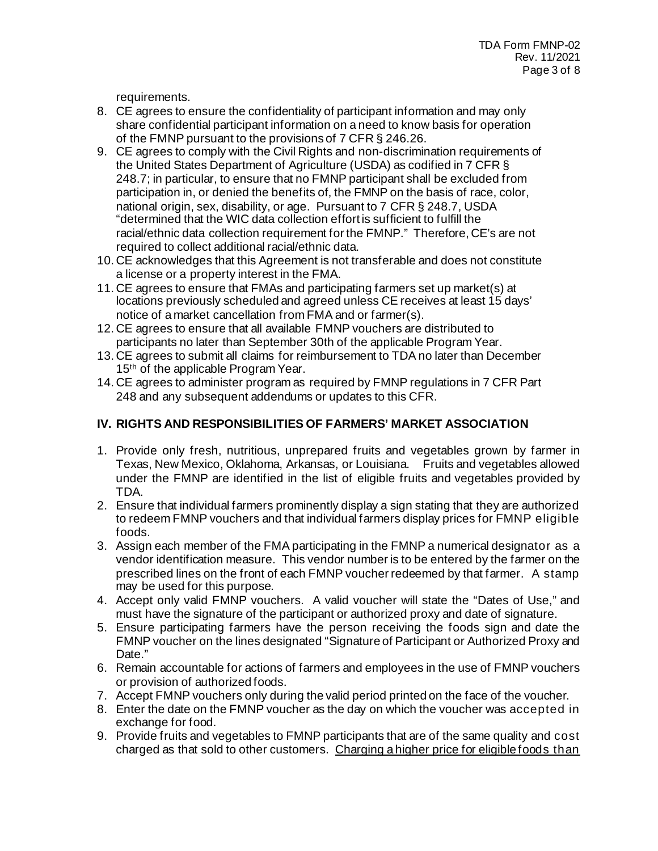requirements.

- 8. CE agrees to ensure the confidentiality of participant information and may only share confidential participant information on a need to know basis for operation of the FMNP pursuant to the provisions of 7 CFR § 246.26.
- 9. CE agrees to comply with the Civil Rights and non-discrimination requirements of the United States Department of Agriculture (USDA) as codified in 7 CFR § 248.7; in particular, to ensure that no FMNP participant shall be excluded from participation in, or denied the benefits of, the FMNP on the basis of race, color, national origin, sex, disability, or age. Pursuant to 7 CFR § 248.7, USDA "determined that the WIC data collection effort is sufficient to fulfill the racial/ethnic data collection requirement for the FMNP." Therefore, CE's are not required to collect additional racial/ethnic data.
- 10. CE acknowledges that this Agreement is not transferable and does not constitute a license or a property interest in the FMA.
- 11. CE agrees to ensure that FMAs and participating farmers set up market(s) at locations previously scheduled and agreed unless CE receives at least 15 days' notice of a market cancellation from FMA and or farmer(s).
- 12. CE agrees to ensure that all available FMNP vouchers are distributed to participants no later than September 30th of the applicable Program Year.
- 13. CE agrees to submit all claims for reimbursement to TDA no later than December 15<sup>th</sup> of the applicable Program Year.
- 14. CE agrees to administer program as required by FMNP regulations in 7 CFR Part 248 and any subsequent addendums or updates to this CFR.

# **IV. RIGHTS AND RESPONSIBILITIES OF FARMERS' MARKET ASSOCIATION**

- 1. Provide only fresh, nutritious, unprepared fruits and vegetables grown by farmer in Texas, New Mexico, Oklahoma, Arkansas, or Louisiana. Fruits and vegetables allowed under the FMNP are identified in the list of eligible fruits and vegetables provided by TDA.
- 2. Ensure that individual farmers prominently display a sign stating that they are authorized to redeem FMNP vouchers and that individual farmers display prices for FMNP eligible foods.
- 3. Assign each member of the FMA participating in the FMNP a numerical designator as a vendor identification measure. This vendor number is to be entered by the farmer on the prescribed lines on the front of each FMNP voucher redeemed by that farmer. A stamp may be used for this purpose.
- 4. Accept only valid FMNP vouchers. A valid voucher will state the "Dates of Use," and must have the signature of the participant or authorized proxy and date of signature.
- 5. Ensure participating farmers have the person receiving the foods sign and date the FMNP voucher on the lines designated "Signature of Participant or Authorized Proxy and Date."
- 6. Remain accountable for actions of farmers and employees in the use of FMNP vouchers or provision of authorized foods.
- 7. Accept FMNP vouchers only during the valid period printed on the face of the voucher.
- 8. Enter the date on the FMNP voucher as the day on which the voucher was accepted in exchange for food.
- 9. Provide fruits and vegetables to FMNP participants that are of the same quality and cost charged as that sold to other customers. Charging a higher price for eligible foods than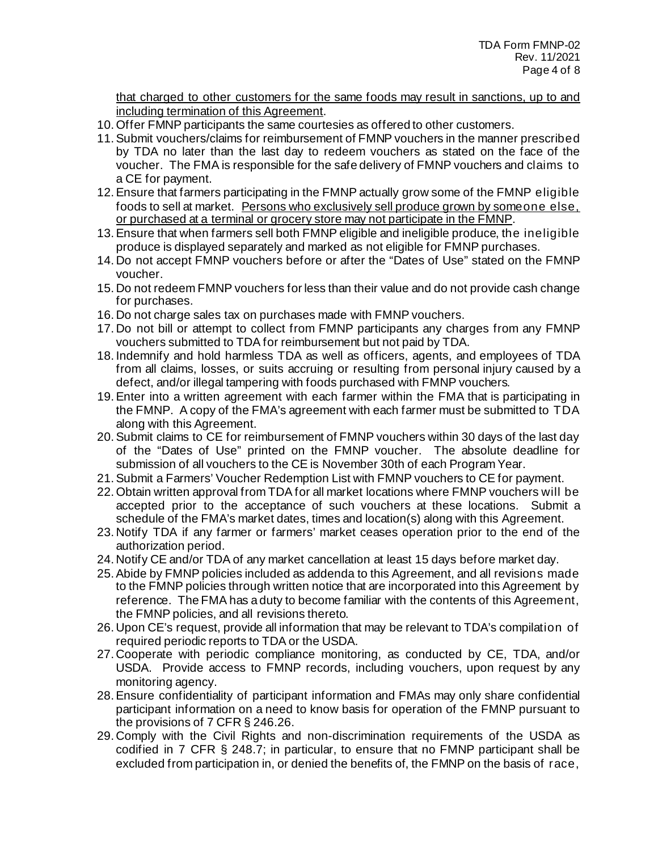that charged to other customers for the same foods may result in sanctions, up to and including termination of this Agreement.

- 10.Offer FMNP participants the same courtesies as offered to other customers.
- 11.Submit vouchers/claims for reimbursement of FMNP vouchers in the manner prescribed by TDA no later than the last day to redeem vouchers as stated on the face of the voucher. The FMA is responsible for the safe delivery of FMNP vouchers and claims to a CE for payment.
- 12.Ensure that farmers participating in the FMNP actually grow some of the FMNP eligible foods to sell at market. Persons who exclusively sell produce grown by someone else, or purchased at a terminal or grocery store may not participate in the FMNP.
- 13.Ensure that when farmers sell both FMNP eligible and ineligible produce, the ineligible produce is displayed separately and marked as not eligible for FMNP purchases.
- 14. Do not accept FMNP vouchers before or after the "Dates of Use" stated on the FMNP voucher.
- 15. Do not redeem FMNP vouchers for less than their value and do not provide cash change for purchases.
- 16. Do not charge sales tax on purchases made with FMNP vouchers.
- 17. Do not bill or attempt to collect from FMNP participants any charges from any FMNP vouchers submitted to TDA for reimbursement but not paid by TDA.
- 18. Indemnify and hold harmless TDA as well as officers, agents, and employees of TDA from all claims, losses, or suits accruing or resulting from personal injury caused by a defect, and/or illegal tampering with foods purchased with FMNP vouchers.
- 19.Enter into a written agreement with each farmer within the FMA that is participating in the FMNP. A copy of the FMA's agreement with each farmer must be submitted to TDA along with this Agreement.
- 20.Submit claims to CE for reimbursement of FMNP vouchers within 30 days of the last day of the "Dates of Use" printed on the FMNP voucher. The absolute deadline for submission of all vouchers to the CE is November 30th of each Program Year.
- 21.Submit a Farmers' Voucher Redemption List with FMNP vouchers to CE for payment.
- 22.Obtain written approval from TDA for all market locations where FMNP vouchers will be accepted prior to the acceptance of such vouchers at these locations. Submit a schedule of the FMA's market dates, times and location(s) along with this Agreement.
- 23. Notify TDA if any farmer or farmers' market ceases operation prior to the end of the authorization period.
- 24. Notify CE and/or TDA of any market cancellation at least 15 days before market day.
- 25.Abide by FMNP policies included as addenda to this Agreement, and all revisions made to the FMNP policies through written notice that are incorporated into this Agreement by reference. The FMA has a duty to become familiar with the contents of this Agreement, the FMNP policies, and all revisions thereto.
- 26. Upon CE's request, provide all information that may be relevant to TDA's compilation of required periodic reports to TDA or the USDA.
- 27. Cooperate with periodic compliance monitoring, as conducted by CE, TDA, and/or USDA. Provide access to FMNP records, including vouchers, upon request by any monitoring agency.
- 28.Ensure confidentiality of participant information and FMAs may only share confidential participant information on a need to know basis for operation of the FMNP pursuant to the provisions of 7 CFR § 246.26.
- 29. Comply with the Civil Rights and non-discrimination requirements of the USDA as codified in 7 CFR § 248.7; in particular, to ensure that no FMNP participant shall be excluded from participation in, or denied the benefits of, the FMNP on the basis of race,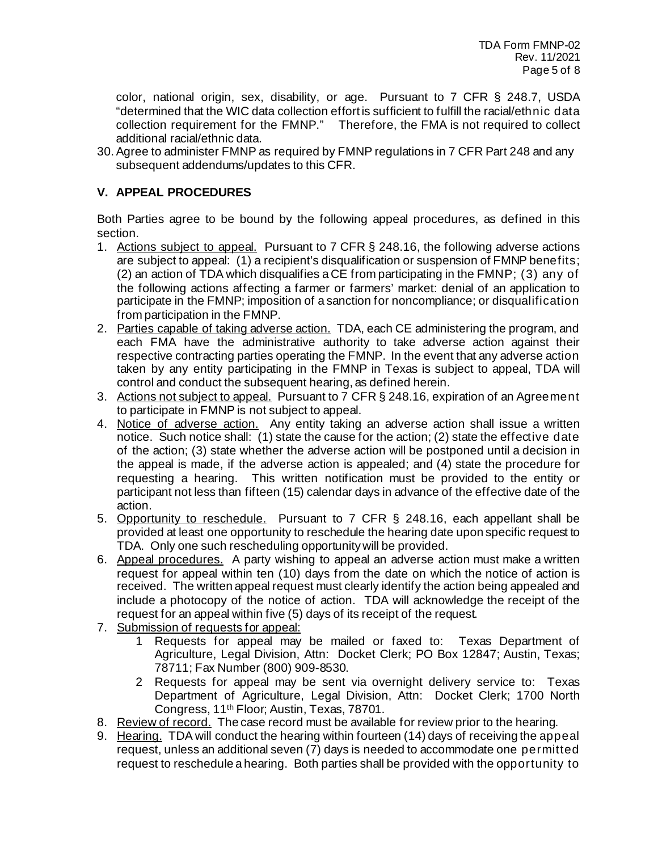color, national origin, sex, disability, or age. Pursuant to 7 CFR § 248.7, USDA "determined that the WIC data collection effort is sufficient to fulfill the racial/ethnic data collection requirement for the FMNP." Therefore, the FMA is not required to collect additional racial/ethnic data.

30.Agree to administer FMNP as required by FMNP regulations in 7 CFR Part 248 and any subsequent addendums/updates to this CFR.

# **V. APPEAL PROCEDURES**

Both Parties agree to be bound by the following appeal procedures, as defined in this section.

- 1. Actions subject to appeal. Pursuant to 7 CFR § 248.16, the following adverse actions are subject to appeal: (1) a recipient's disqualification or suspension of FMNP benefits; (2) an action of TDA which disqualifies a CE from participating in the FMNP; (3) any of the following actions affecting a farmer or farmers' market: denial of an application to participate in the FMNP; imposition of a sanction for noncompliance; or disqualification from participation in the FMNP.
- 2. Parties capable of taking adverse action. TDA, each CE administering the program, and each FMA have the administrative authority to take adverse action against their respective contracting parties operating the FMNP. In the event that any adverse action taken by any entity participating in the FMNP in Texas is subject to appeal, TDA will control and conduct the subsequent hearing, as defined herein.
- 3. Actions not subject to appeal. Pursuant to 7 CFR § 248.16, expiration of an Agreement to participate in FMNP is not subject to appeal.
- 4. Notice of adverse action. Any entity taking an adverse action shall issue a written notice. Such notice shall: (1) state the cause for the action; (2) state the effective date of the action; (3) state whether the adverse action will be postponed until a decision in the appeal is made, if the adverse action is appealed; and (4) state the procedure for requesting a hearing. This written notification must be provided to the entity or participant not less than fifteen (15) calendar days in advance of the effective date of the action.
- 5. Opportunity to reschedule. Pursuant to 7 CFR § 248.16, each appellant shall be provided at least one opportunity to reschedule the hearing date upon specific request to TDA. Only one such rescheduling opportunity will be provided.
- 6. Appeal procedures. A party wishing to appeal an adverse action must make a written request for appeal within ten (10) days from the date on which the notice of action is received. The written appeal request must clearly identify the action being appealed and include a photocopy of the notice of action. TDA will acknowledge the receipt of the request for an appeal within five (5) days of its receipt of the request.
- 7. Submission of requests for appeal:
	- 1 Requests for appeal may be mailed or faxed to: Texas Department of Agriculture, Legal Division, Attn: Docket Clerk; PO Box 12847; Austin, Texas; 78711; Fax Number (800) 909-8530.
	- 2 Requests for appeal may be sent via overnight delivery service to: Texas Department of Agriculture, Legal Division, Attn: Docket Clerk; 1700 North Congress, 11th Floor; Austin, Texas, 78701.
- 8. Review of record. The case record must be available for review prior to the hearing.
- 9. Hearing. TDA will conduct the hearing within fourteen (14) days of receiving the appeal request, unless an additional seven (7) days is needed to accommodate one permitted request to reschedule a hearing. Both parties shall be provided with the opportunity to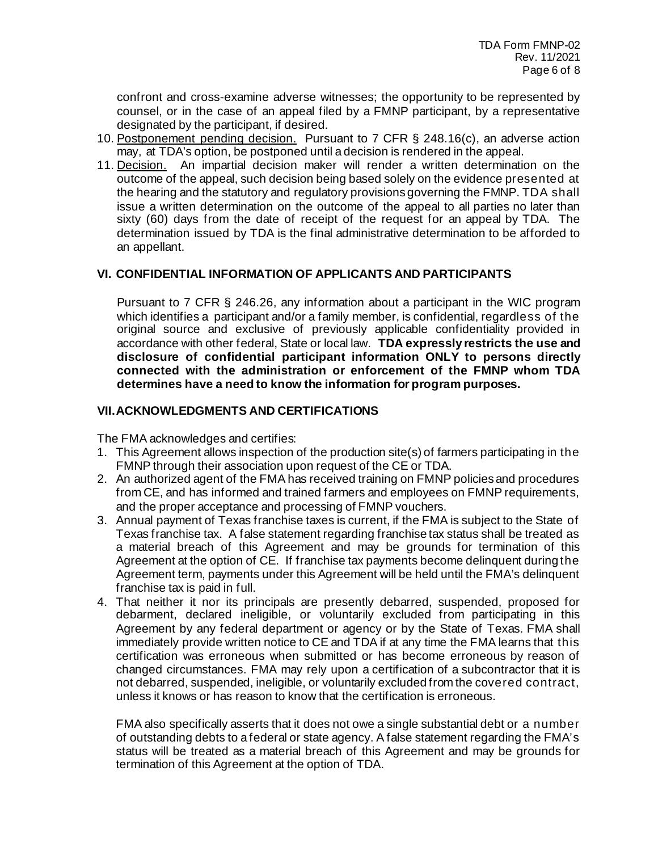confront and cross-examine adverse witnesses; the opportunity to be represented by counsel, or in the case of an appeal filed by a FMNP participant, by a representative designated by the participant, if desired.

- 10. Postponement pending decision. Pursuant to 7 CFR § 248.16(c), an adverse action may, at TDA's option, be postponed until a decision is rendered in the appeal.
- 11. Decision. An impartial decision maker will render a written determination on the outcome of the appeal, such decision being based solely on the evidence presented at the hearing and the statutory and regulatory provisions governing the FMNP. TDA shall issue a written determination on the outcome of the appeal to all parties no later than sixty (60) days from the date of receipt of the request for an appeal by TDA. The determination issued by TDA is the final administrative determination to be afforded to an appellant.

### **VI. CONFIDENTIAL INFORMATION OF APPLICANTS AND PARTICIPANTS**

Pursuant to 7 CFR § 246.26, any information about a participant in the WIC program which identifies a participant and/or a family member, is confidential, regardless of the original source and exclusive of previously applicable confidentiality provided in accordance with other federal, State or local law. **TDA expressly restricts the use and disclosure of confidential participant information ONLY to persons directly connected with the administration or enforcement of the FMNP whom TDA determines have a need to know the information for program purposes.** 

### **VII.ACKNOWLEDGMENTS AND CERTIFICATIONS**

The FMA acknowledges and certifies:

- 1. This Agreement allows inspection of the production site(s) of farmers participating in the FMNP through their association upon request of the CE or TDA.
- 2. An authorized agent of the FMA has received training on FMNP policies and procedures from CE, and has informed and trained farmers and employees on FMNP requirements, and the proper acceptance and processing of FMNP vouchers.
- 3. Annual payment of Texas franchise taxes is current, if the FMA is subject to the State of Texas franchise tax. A false statement regarding franchise tax status shall be treated as a material breach of this Agreement and may be grounds for termination of this Agreement at the option of CE. If franchise tax payments become delinquent during the Agreement term, payments under this Agreement will be held until the FMA's delinquent franchise tax is paid in full.
- 4. That neither it nor its principals are presently debarred, suspended, proposed for debarment, declared ineligible, or voluntarily excluded from participating in this Agreement by any federal department or agency or by the State of Texas. FMA shall immediately provide written notice to CE and TDA if at any time the FMA learns that this certification was erroneous when submitted or has become erroneous by reason of changed circumstances. FMA may rely upon a certification of a subcontractor that it is not debarred, suspended, ineligible, or voluntarily excluded from the covered contract, unless it knows or has reason to know that the certification is erroneous.

FMA also specifically asserts that it does not owe a single substantial debt or a number of outstanding debts to a federal or state agency. A false statement regarding the FMA's status will be treated as a material breach of this Agreement and may be grounds for termination of this Agreement at the option of TDA.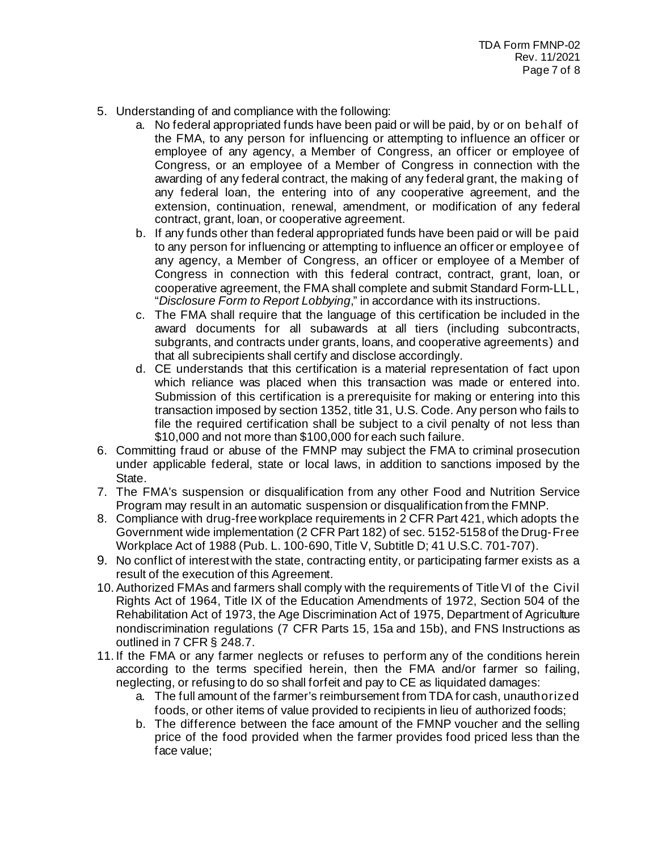- 5. Understanding of and compliance with the following:
	- a. No federal appropriated funds have been paid or will be paid, by or on behalf of the FMA, to any person for influencing or attempting to influence an officer or employee of any agency, a Member of Congress, an officer or employee of Congress, or an employee of a Member of Congress in connection with the awarding of any federal contract, the making of any federal grant, the making of any federal loan, the entering into of any cooperative agreement, and the extension, continuation, renewal, amendment, or modification of any federal contract, grant, loan, or cooperative agreement.
	- b. If any funds other than federal appropriated funds have been paid or will be paid to any person for influencing or attempting to influence an officer or employee of any agency, a Member of Congress, an officer or employee of a Member of Congress in connection with this federal contract, contract, grant, loan, or cooperative agreement, the FMA shall complete and submit Standard Form-LLL, "*Disclosure Form to Report Lobbying*," in accordance with its instructions.
	- c. The FMA shall require that the language of this certification be included in the award documents for all subawards at all tiers (including subcontracts, subgrants, and contracts under grants, loans, and cooperative agreements) and that all subrecipients shall certify and disclose accordingly.
	- d. CE understands that this certification is a material representation of fact upon which reliance was placed when this transaction was made or entered into. Submission of this certification is a prerequisite for making or entering into this transaction imposed by section 1352, title 31, U.S. Code. Any person who fails to file the required certification shall be subject to a civil penalty of not less than \$10,000 and not more than \$100,000 for each such failure.
- 6. Committing fraud or abuse of the FMNP may subject the FMA to criminal prosecution under applicable federal, state or local laws, in addition to sanctions imposed by the State.
- 7. The FMA's suspension or disqualification from any other Food and Nutrition Service Program may result in an automatic suspension or disqualification from the FMNP.
- 8. Compliance with drug-free workplace requirements in 2 CFR Part 421, which adopts the Government wide implementation (2 CFR Part 182) of sec. 5152-5158 of the Drug-Free Workplace Act of 1988 (Pub. L. 100-690, Title V, Subtitle D; 41 U.S.C. 701-707).
- 9. No conflict of interest with the state, contracting entity, or participating farmer exists as a result of the execution of this Agreement.
- 10.Authorized FMAs and farmers shall comply with the requirements of Title VI of the Civil Rights Act of 1964, Title IX of the Education Amendments of 1972, Section 504 of the Rehabilitation Act of 1973, the Age Discrimination Act of 1975, Department of Agriculture nondiscrimination regulations (7 CFR Parts 15, 15a and 15b), and FNS Instructions as outlined in 7 CFR § 248.7.
- 11. If the FMA or any farmer neglects or refuses to perform any of the conditions herein according to the terms specified herein, then the FMA and/or farmer so failing, neglecting, or refusing to do so shall forfeit and pay to CE as liquidated damages:
	- a. The full amount of the farmer's reimbursement from TDA for cash, unauthorized foods, or other items of value provided to recipients in lieu of authorized foods;
	- b. The difference between the face amount of the FMNP voucher and the selling price of the food provided when the farmer provides food priced less than the face value;